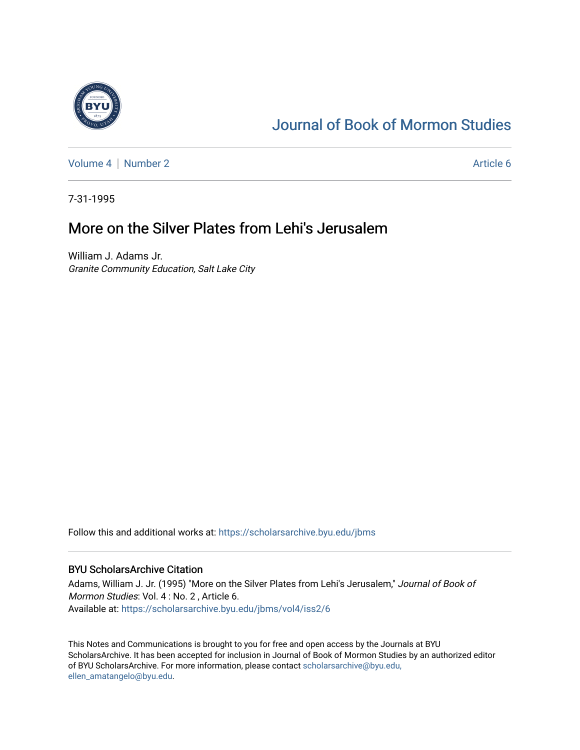

# [Journal of Book of Mormon Studies](https://scholarsarchive.byu.edu/jbms)

[Volume 4](https://scholarsarchive.byu.edu/jbms/vol4) | [Number 2](https://scholarsarchive.byu.edu/jbms/vol4/iss2) Article 6

7-31-1995

## More on the Silver Plates from Lehi's Jerusalem

William J. Adams Jr. Granite Community Education, Salt Lake City

Follow this and additional works at: [https://scholarsarchive.byu.edu/jbms](https://scholarsarchive.byu.edu/jbms?utm_source=scholarsarchive.byu.edu%2Fjbms%2Fvol4%2Fiss2%2F6&utm_medium=PDF&utm_campaign=PDFCoverPages) 

### BYU ScholarsArchive Citation

Adams, William J. Jr. (1995) "More on the Silver Plates from Lehi's Jerusalem," Journal of Book of Mormon Studies: Vol. 4 : No. 2 , Article 6. Available at: [https://scholarsarchive.byu.edu/jbms/vol4/iss2/6](https://scholarsarchive.byu.edu/jbms/vol4/iss2/6?utm_source=scholarsarchive.byu.edu%2Fjbms%2Fvol4%2Fiss2%2F6&utm_medium=PDF&utm_campaign=PDFCoverPages) 

This Notes and Communications is brought to you for free and open access by the Journals at BYU ScholarsArchive. It has been accepted for inclusion in Journal of Book of Mormon Studies by an authorized editor of BYU ScholarsArchive. For more information, please contact [scholarsarchive@byu.edu,](mailto:scholarsarchive@byu.edu,%20ellen_amatangelo@byu.edu) [ellen\\_amatangelo@byu.edu](mailto:scholarsarchive@byu.edu,%20ellen_amatangelo@byu.edu).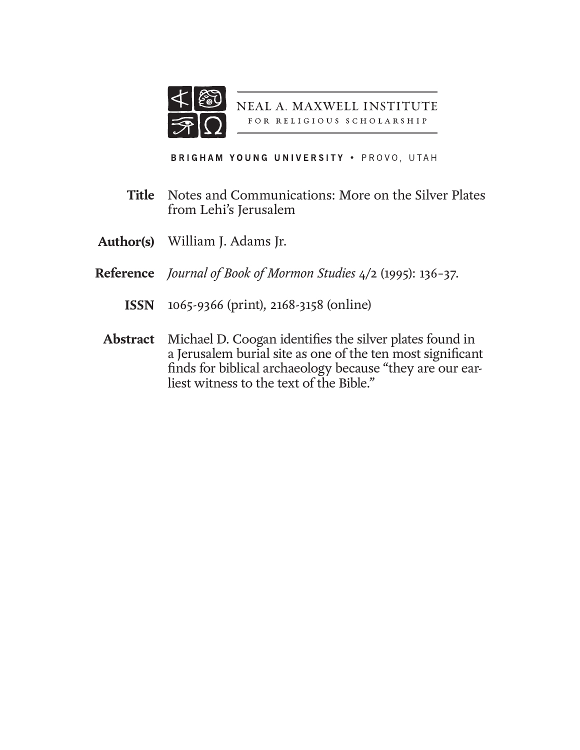

NEAL A. MAXWELL INSTITUTE FOR RELIGIOUS SCHOLARSHIP

BRIGHAM YOUNG UNIVERSITY . PROVO, UTAH

- Notes and Communications: More on the Silver Plates from Lehi's Jerusalem **Title**
- William J. Adams Jr. **Author(s)**
- *Journal of Book of Mormon Studies* 4/2 (1995): 136–37. **Reference**
	- 1065-9366 (print), 2168-3158 (online) **ISSN**
	- Michael D. Coogan identifies the silver plates found in a Jerusalem burial site as one of the ten most significant finds for biblical archaeology because "they are our earliest witness to the text of the Bible." **Abstract**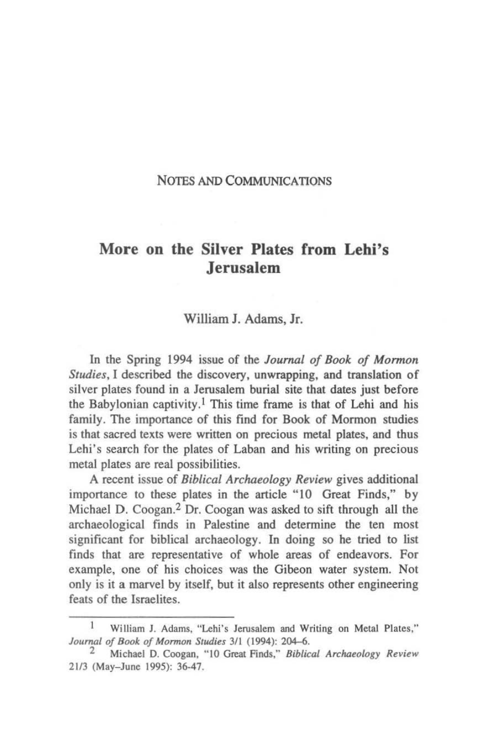#### NOTES AND COMMUNICATIONS

## More on the Silver Plates from Lehi's Jerusalem

#### William I. Adams, Ir.

In the Spring 1994 issue of the *Journal of Book of Monnon Studies,* I described the discovery, unwrapping. and translation of silver plates found in a Jerusalem burial site that dates just before the Babylonian captivity.<sup>1</sup> This time frame is that of Lehi and his family. The importance of this find for Book of Mormon studies is that sacred texts were written on precious metal plates. and thus Lehi's search for the plates of Laban and his writing on precious metal plates are real possibilities.

A recent issue of *Biblical Archaeology Review* gives additional importance to these plates in the article "10 Great Finds," by Michael D. Coogan.2 Dr, Coogan was asked to sift through all the archaeological finds in Palestine and determine the ten most significant for biblical archaeology. In doing so he tried to list finds that are representative of whole areas of endeavors. For example. one of his choices was the Gibeon water system. Not only is it a marvel by itself, but it also represents other engineering feats of the Israelites.

<sup>1</sup> William I. Adams. "Lehi's Jerusalem and Writing on Metal Plates," Journal of Book of Mormon Studies 3/1 (1994): 204-6.

Michael D. Coogan, "10 Great Finds," *Biblical Archaeology Review* 2113 (May-June 1995): 36-47.